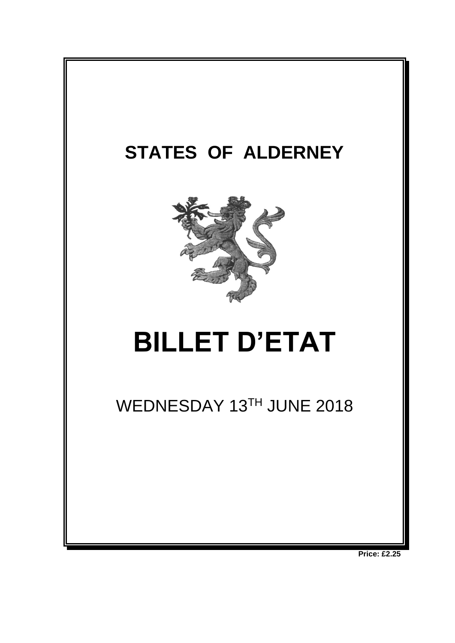

**Price: £2.25**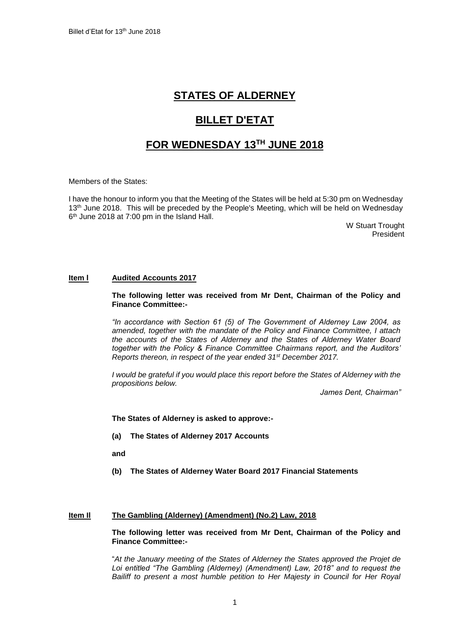# **STATES OF ALDERNEY**

# **BILLET D'ETAT**

# **FOR WEDNESDAY 13 TH JUNE 2018**

Members of the States:

I have the honour to inform you that the Meeting of the States will be held at 5:30 pm on Wednesday 13<sup>th</sup> June 2018. This will be preceded by the People's Meeting, which will be held on Wednesday 6 th June 2018 at 7:00 pm in the Island Hall.

W Stuart Trought President

### **Item l Audited Accounts 2017**

**The following letter was received from Mr Dent, Chairman of the Policy and Finance Committee:-**

*"In accordance with Section 61 (5) of The Government of Alderney Law 2004, as amended, together with the mandate of the Policy and Finance Committee, I attach the accounts of the States of Alderney and the States of Alderney Water Board together with the Policy & Finance Committee Chairmans report, and the Auditors' Reports thereon, in respect of the year ended 31st December 2017.*

*I* would be grateful if you would place this report before the States of Alderney with the *propositions below.*

*James Dent, Chairman"*

**The States of Alderney is asked to approve:-**

**(a) The States of Alderney 2017 Accounts**

**and**

**(b) The States of Alderney Water Board 2017 Financial Statements**

### **Item Il The Gambling (Alderney) (Amendment) (No.2) Law, 2018**

**The following letter was received from Mr Dent, Chairman of the Policy and Finance Committee:-**

"*At the January meeting of the States of Alderney the States approved the Projet de*  Loi entitled "The Gambling (Alderney) (Amendment) Law, 2018" and to request the Bailiff to present a most humble petition to Her Majesty in Council for Her Royal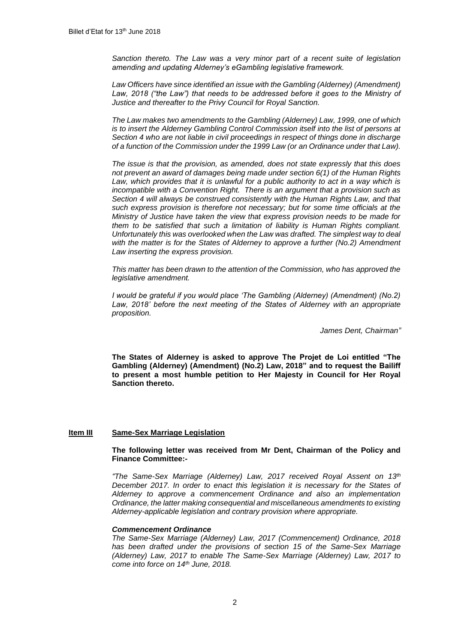*Sanction thereto. The Law was a very minor part of a [recent suite of legislation](http://www.alderney.gov.gg/CHttpHandler.ashx?id=111439&p=0) amending and updating Alderney's eGambling legislative framework.*

Law Officers have since identified an issue with the Gambling (Alderney) (Amendment) Law, 2018 ("the Law") that needs to be addressed before it goes to the Ministry of *Justice and thereafter to the Privy Council for Royal Sanction.* 

*The Law makes two amendments to the Gambling (Alderney) Law, 1999, one of which is to insert the Alderney Gambling Control Commission itself into the list of persons at Section 4 who are not liable in civil proceedings in respect of things done in discharge of a function of the Commission under the 1999 Law (or an Ordinance under that Law).* 

*The issue is that the provision, as amended, does not state expressly that this does not prevent an award of damages being made under section 6(1) of the [Human Rights](http://www.guernseylegalresources.gg/CHttpHandler.ashx?id=71807&p=0)  [Law,](http://www.guernseylegalresources.gg/CHttpHandler.ashx?id=71807&p=0) which provides that it is unlawful for a public authority to act in a way which is incompatible with a Convention Right. There is an argument that a provision such as Section 4 will always be construed consistently with the Human Rights Law, and that such express provision is therefore not necessary; but for some time officials at the Ministry of Justice have taken the view that express provision needs to be made for them to be satisfied that such a limitation of liability is Human Rights compliant. Unfortunately this was overlooked when the Law was drafted. The simplest way to deal with the matter is for the States of Alderney to approve a further (No.2) Amendment Law inserting the express provision.*

*This matter has been drawn to the attention of the Commission, who has approved the legislative amendment.* 

*I* would be grateful if you would place 'The Gambling (Alderney) (Amendment) (No.2) *Law, 2018' before the next meeting of the States of Alderney with an appropriate proposition.*

*James Dent, Chairman"*

**The States of Alderney is asked to approve The Projet de Loi entitled "The Gambling (Alderney) (Amendment) (No.2) Law, 2018" and to request the Bailiff to present a most humble petition to Her Majesty in Council for Her Royal Sanction thereto.**

### **Item III Same-Sex Marriage Legislation**

#### **The following letter was received from Mr Dent, Chairman of the Policy and Finance Committee:-**

*"The Same-Sex Marriage (Alderney) Law, 2017 received Royal Assent on 13th December 2017. In order to enact this legislation it is necessary for the States of Alderney to approve a commencement Ordinance and also an implementation Ordinance, the latter making consequential and miscellaneous amendments to existing Alderney-applicable legislation and contrary provision where appropriate.*

#### *Commencement Ordinance*

*The Same-Sex Marriage (Alderney) Law, 2017 (Commencement) Ordinance, 2018 has been drafted under the provisions of section 15 of the Same-Sex Marriage (Alderney) Law, 2017 to enable The Same-Sex Marriage (Alderney) Law, 2017 to come into force on 14th June, 2018.*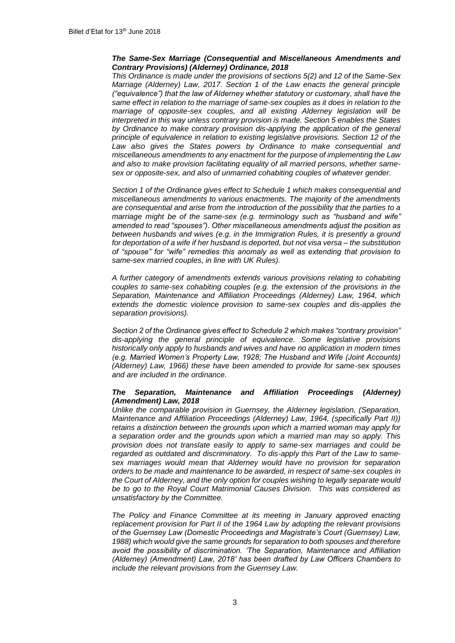#### *The Same-Sex Marriage (Consequential and Miscellaneous Amendments and Contrary Provisions) (Alderney) Ordinance, 2018*

*This Ordinance is made under the provisions of sections 5(2) and 12 of the Same-Sex Marriage (Alderney) Law, 2017. Section 1 of the Law enacts the general principle ("equivalence") that the law of Alderney whether statutory or customary, shall have the same effect in relation to the marriage of same-sex couples as it does in relation to the marriage of opposite-sex couples, and all existing Alderney legislation will be interpreted in this way unless contrary provision is made. Section 5 enables the States*  by Ordinance to make contrary provision dis-applying the application of the general *principle of equivalence in relation to existing legislative provisions. Section 12 of the Law also gives the States powers by Ordinance to make consequential and miscellaneous amendments to any enactment for the purpose of implementing the Law and also to make provision facilitating equality of all married persons, whether samesex or opposite-sex, and also of unmarried cohabiting couples of whatever gender.* 

*Section 1 of the Ordinance gives effect to Schedule 1 which makes consequential and miscellaneous amendments to various enactments. The majority of the amendments are consequential and arise from the introduction of the possibility that the parties to a marriage might be of the same-sex (e.g. terminology such as "husband and wife" amended to read "spouses"). Other miscellaneous amendments adjust the position as between husbands and wives (e.g. in the Immigration Rules, it is presently a ground for deportation of a wife if her husband is deported, but not visa versa – the substitution of "spouse" for "wife" remedies this anomaly as well as extending that provision to same-sex married couples, in line with UK Rules).*

*A further category of amendments extends various provisions relating to cohabiting couples to same-sex cohabiting couples (e.g. the extension of the provisions in the Separation, Maintenance and Affiliation Proceedings (Alderney) Law, 1964, which extends the domestic violence provision to same-sex couples and dis-applies the separation provisions).* 

*Section 2 of the Ordinance gives effect to Schedule 2 which makes "contrary provision" dis-applying the general principle of equivalence. Some legislative provisions historically only apply to husbands and wives and have no application in modern times (e.g. Married Women's Property Law, 1928; The Husband and Wife (Joint Accounts) (Alderney) Law, 1966) these have been amended to provide for same-sex spouses and are included in the ordinance.*

#### *The Separation, Maintenance and Affiliation Proceedings (Alderney) (Amendment) Law, 2018*

*Unlike the comparable provision in Guernsey, the Alderney legislation, (Separation, Maintenance and Affiliation Proceedings (Alderney) Law, 1964, (specifically Part II)) retains a distinction between the grounds upon which a married woman may apply for a separation order and the grounds upon which a married man may so apply. This provision does not translate easily to apply to same-sex marriages and could be regarded as outdated and discriminatory. To dis-apply this Part of the Law to samesex marriages would mean that Alderney would have no provision for separation orders to be made and maintenance to be awarded, in respect of same-sex couples in the Court of Alderney, and the only option for couples wishing to legally separate would be to go to the Royal Court Matrimonial Causes Division. This was considered as unsatisfactory by the Committee.*

*The Policy and Finance Committee at its meeting in January approved enacting replacement provision for Part II of the 1964 Law by adopting the relevant provisions of the Guernsey Law (Domestic Proceedings and Magistrate's Court (Guernsey) Law, 1988) which would give the same grounds for separation to both spouses and therefore avoid the possibility of discrimination. 'The Separation, Maintenance and Affiliation (Alderney) (Amendment) Law, 2018' has been drafted by Law Officers Chambers to include the relevant provisions from the Guernsey Law.*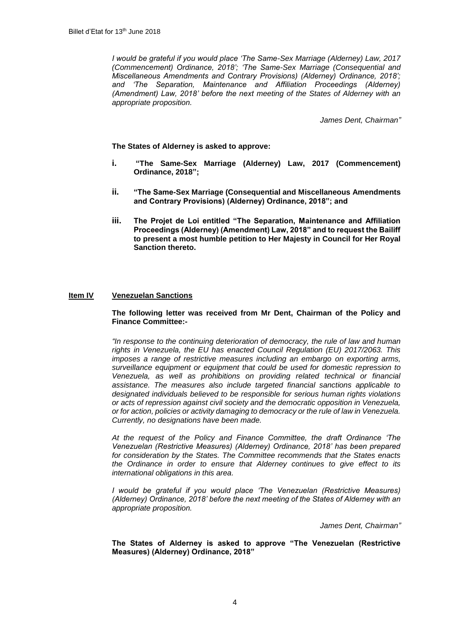*I would be grateful if you would place 'The Same-Sex Marriage (Alderney) Law, 2017 (Commencement) Ordinance, 2018'; 'The Same-Sex Marriage (Consequential and Miscellaneous Amendments and Contrary Provisions) (Alderney) Ordinance, 2018'; and 'The Separation, Maintenance and Affiliation Proceedings (Alderney) (Amendment) Law, 2018' before the next meeting of the States of Alderney with an appropriate proposition.*

*James Dent, Chairman"*

**The States of Alderney is asked to approve:**

- **i. "The Same-Sex Marriage (Alderney) Law, 2017 (Commencement) Ordinance, 2018";**
- **ii. "The Same-Sex Marriage (Consequential and Miscellaneous Amendments and Contrary Provisions) (Alderney) Ordinance, 2018"; and**
- **iii. The Projet de Loi entitled "The Separation, Maintenance and Affiliation Proceedings (Alderney) (Amendment) Law, 2018" and to request the Bailiff to present a most humble petition to Her Majesty in Council for Her Royal Sanction thereto.**

### **Item IV Venezuelan Sanctions**

### **The following letter was received from Mr Dent, Chairman of the Policy and Finance Committee:-**

*"In response to the continuing deterioration of democracy, the rule of law and human rights in Venezuela, the EU has enacted Council Regulation (EU) 2017/2063. This imposes a range of restrictive measures including an embargo on exporting arms, surveillance equipment or equipment that could be used for domestic repression to Venezuela, as well as prohibitions on providing related technical or financial assistance. The measures also include targeted financial sanctions applicable to designated individuals believed to be responsible for serious human rights violations or acts of repression against civil society and the democratic opposition in Venezuela, or for action, policies or activity damaging to democracy or the rule of law in Venezuela. Currently, no designations have been made.* 

*At the request of the Policy and Finance Committee, the draft Ordinance 'The Venezuelan (Restrictive Measures) (Alderney) Ordinance, 2018' has been prepared for consideration by the States. The Committee recommends that the States enacts the Ordinance in order to ensure that Alderney continues to give effect to its international obligations in this area.*

*I* would be grateful if you would place 'The Venezuelan (Restrictive Measures) *(Alderney) Ordinance, 2018' before the next meeting of the States of Alderney with an appropriate proposition.*

*James Dent, Chairman"*

**The States of Alderney is asked to approve "The Venezuelan (Restrictive Measures) (Alderney) Ordinance, 2018"**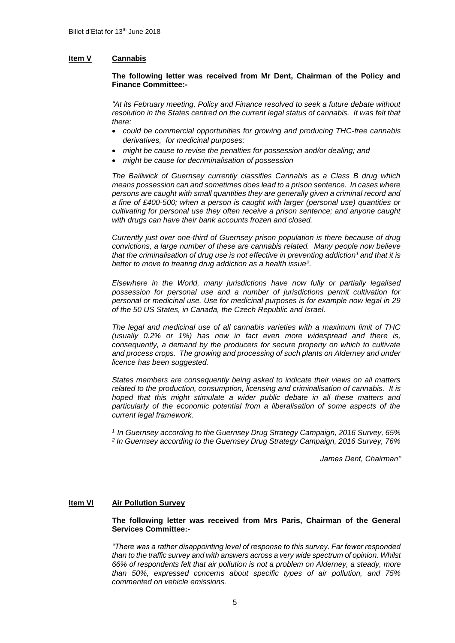# **Item V Cannabis**

## **The following letter was received from Mr Dent, Chairman of the Policy and Finance Committee:-**

*"At its February meeting, Policy and Finance resolved to seek a future debate without*  resolution in the States centred on the current legal status of cannabis. It was felt that *there:*

- *could be commercial opportunities for growing and producing THC-free cannabis derivatives, for medicinal purposes;*
- *might be cause to revise the penalties for possession and/or dealing; and*
- *might be cause for decriminalisation of possession*

*The Bailiwick of Guernsey currently classifies Cannabis as a Class B drug which means possession can and sometimes does lead to a prison sentence. In cases where persons are caught with small quantities they are generally given a criminal record and a fine of £400-500; when a person is caught with larger (personal use) quantities or cultivating for personal use they often receive a prison sentence; and anyone caught with drugs can have their bank accounts frozen and closed.*

*Currently just over one-third of Guernsey prison population is there because of drug convictions, a large number of these are cannabis related. Many people now believe that the criminalisation of drug use is not effective in preventing addiction<sup>1</sup> and that it is better to move to treating drug addiction as a health issue<sup>2</sup> .*

*Elsewhere in the World, many jurisdictions have now fully or partially legalised possession for personal use and a number of jurisdictions permit cultivation for personal or medicinal use. Use for medicinal purposes is for example now legal in 29 of the 50 US States, in Canada, the Czech Republic and Israel.*

*The legal and medicinal use of all cannabis varieties with a maximum limit of THC (usually 0.2% or 1%) has now in fact even more widespread and there is, consequently, a demand by the producers for secure property on which to cultivate and process crops. The growing and processing of such plants on Alderney and under licence has been suggested.*

*States members are consequently being asked to indicate their views on all matters related to the production, consumption, licensing and criminalisation of cannabis. It is*  hoped that this might stimulate a wider public debate in all these matters and *particularly of the economic potential from a liberalisation of some aspects of the current legal framework.*

*<sup>1</sup>In Guernsey according to the Guernsey Drug Strategy Campaign, 2016 Survey, 65% 2 In Guernsey according to the Guernsey Drug Strategy Campaign, 2016 Survey, 76%*

*James Dent, Chairman"*

## **Item VI Air Pollution Survey**

**The following letter was received from Mrs Paris, Chairman of the General Services Committee:-**

*"There was a rather disappointing level of response to this survey. Far fewer responded than to the traffic survey and with answers across a very wide spectrum of opinion. Whilst 66% of respondents felt that air pollution is not a problem on Alderney, a steady, more than 50%, expressed concerns about specific types of air pollution, and 75% commented on vehicle emissions.*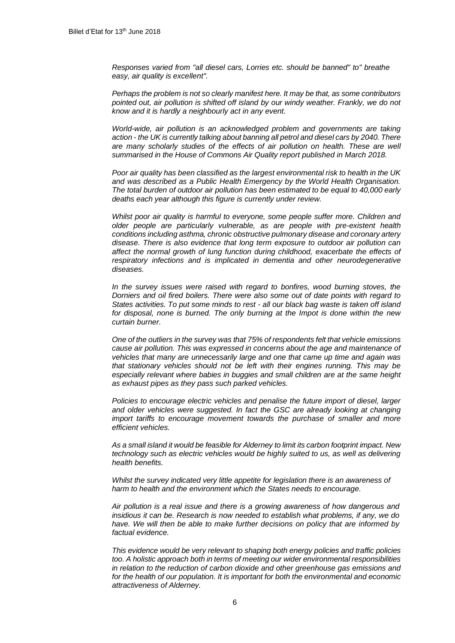*Responses varied from "all diesel cars, Lorries etc. should be banned" to" breathe easy, air quality is excellent".*

*Perhaps the problem is not so clearly manifest here. It may be that, as some contributors pointed out, air pollution is shifted off island by our windy weather. Frankly, we do not know and it is hardly a neighbourly act in any event.*

*World-wide, air pollution is an acknowledged problem and governments are taking action - the UK is currently talking about banning all petrol and diesel cars by 2040. There are many scholarly studies of the effects of air pollution on health. These are well summarised in the House of Commons Air Quality report published in March 2018.*

*Poor air quality has been classified as the largest environmental risk to health in the UK and was described as a Public Health Emergency by the World Health Organisation. The total burden of outdoor air pollution has been estimated to be equal to 40,000 early deaths each year although this figure is currently under review.*

*Whilst poor air quality is harmful to everyone, some people suffer more. Children and older people are particularly vulnerable, as are people with pre-existent health conditions including asthma, chronic obstructive pulmonary disease and coronary artery disease. There is also evidence that long term exposure to outdoor air pollution can affect the normal growth of lung function during childhood, exacerbate the effects of*  respiratory infections and is implicated in dementia and other neurodegenerative *diseases.*

*In the survey issues were raised with regard to bonfires, wood burning stoves, the Dorniers and oil fired boilers. There were also some out of date points with regard to States activities. To put some minds to rest - all our black bag waste is taken off island for disposal, none is burned. The only burning at the Impot is done within the new curtain burner.*

*One of the outliers in the survey was that 75% of respondents felt that vehicle emissions cause air pollution. This was expressed in concerns about the age and maintenance of vehicles that many are unnecessarily large and one that came up time and again was that stationary vehicles should not be left with their engines running. This may be especially relevant where babies in buggies and small children are at the same height as exhaust pipes as they pass such parked vehicles.*

*Policies to encourage electric vehicles and penalise the future import of diesel, larger and older vehicles were suggested. In fact the GSC are already looking at changing import tariffs to encourage movement towards the purchase of smaller and more efficient vehicles.*

*As a small island it would be feasible for Alderney to limit its carbon footprint impact. New technology such as electric vehicles would be highly suited to us, as well as delivering health benefits.*

*Whilst the survey indicated very little appetite for legislation there is an awareness of harm to health and the environment which the States needs to encourage.*

*Air pollution is a real issue and there is a growing awareness of how dangerous and insidious it can be. Research is now needed to establish what problems, if any, we do have. We will then be able to make further decisions on policy that are informed by factual evidence.*

*This evidence would be very relevant to shaping both energy policies and traffic policies too. A holistic approach both in terms of meeting our wider environmental responsibilities in relation to the reduction of carbon dioxide and other greenhouse gas emissions and for the health of our population. It is important for both the environmental and economic attractiveness of Alderney.*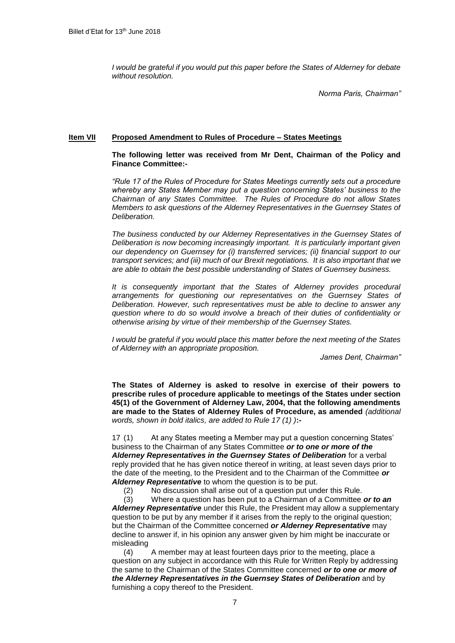*I would be grateful if you would put this paper before the States of Alderney for debate without resolution.*

*Norma Paris, Chairman"*

## **Item VII Proposed Amendment to Rules of Procedure – States Meetings**

## **The following letter was received from Mr Dent, Chairman of the Policy and Finance Committee:-**

*"Rule 17 of the Rules of Procedure for States Meetings currently sets out a procedure whereby any States Member may put a question concerning States' business to the Chairman of any States Committee. The Rules of Procedure do not allow States Members to ask questions of the Alderney Representatives in the Guernsey States of Deliberation.*

*The business conducted by our Alderney Representatives in the Guernsey States of Deliberation is now becoming increasingly important. It is particularly important given our dependency on Guernsey for (i) transferred services; (ii) financial support to our transport services; and (iii) much of our Brexit negotiations. It is also important that we are able to obtain the best possible understanding of States of Guernsey business.* 

*It is consequently important that the States of Alderney provides procedural arrangements for questioning our representatives on the Guernsey States of Deliberation. However, such representatives must be able to decline to answer any question where to do so would involve a breach of their duties of confidentiality or otherwise arising by virtue of their membership of the Guernsey States.*

*I would be grateful if you would place this matter before the next meeting of the States of Alderney with an appropriate proposition.* 

*James Dent, Chairman"*

**The States of Alderney is asked to resolve in exercise of their powers to prescribe rules of procedure applicable to meetings of the States under section 45(1) of the Government of Alderney Law, 2004, that the following amendments are made to the States of Alderney Rules of Procedure, as amended** *(additional words, shown in bold italics, are added to Rule 17 (1) )***:-**

17 (1) At any States meeting a Member may put a question concerning States' business to the Chairman of any States Committee *or to one or more of the*  Alderney Representatives in the Guernsey States of Deliberation for a verbal reply provided that he has given notice thereof in writing, at least seven days prior to the date of the meeting, to the President and to the Chairman of the Committee *or Alderney Representative* to whom the question is to be put.

(2) No discussion shall arise out of a question put under this Rule.

(3) Where a question has been put to a Chairman of a Committee *or to an Alderney Representative* under this Rule, the President may allow a supplementary question to be put by any member if it arises from the reply to the original question; but the Chairman of the Committee concerned *or Alderney Representative* may decline to answer if, in his opinion any answer given by him might be inaccurate or misleading

(4) A member may at least fourteen days prior to the meeting, place a question on any subject in accordance with this Rule for Written Reply by addressing the same to the Chairman of the States Committee concerned *or to one or more of the Alderney Representatives in the Guernsey States of Deliberation* and by furnishing a copy thereof to the President.